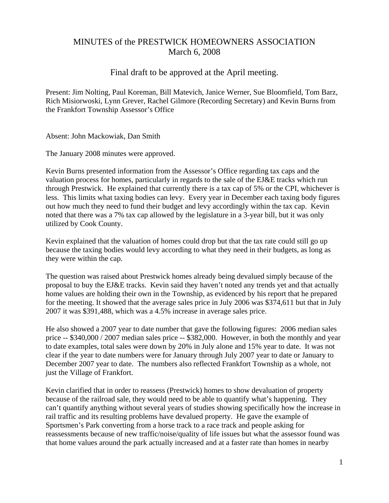# MINUTES of the PRESTWICK HOMEOWNERS ASSOCIATION March 6, 2008

## Final draft to be approved at the April meeting.

Present: Jim Nolting, Paul Koreman, Bill Matevich, Janice Werner, Sue Bloomfield, Tom Barz, Rich Misiorwoski, Lynn Grever, Rachel Gilmore (Recording Secretary) and Kevin Burns from the Frankfort Township Assessor's Office

Absent: John Mackowiak, Dan Smith

The January 2008 minutes were approved.

Kevin Burns presented information from the Assessor's Office regarding tax caps and the valuation process for homes, particularly in regards to the sale of the EJ&E tracks which run through Prestwick. He explained that currently there is a tax cap of 5% or the CPI, whichever is less. This limits what taxing bodies can levy. Every year in December each taxing body figures out how much they need to fund their budget and levy accordingly within the tax cap. Kevin noted that there was a 7% tax cap allowed by the legislature in a 3-year bill, but it was only utilized by Cook County.

Kevin explained that the valuation of homes could drop but that the tax rate could still go up because the taxing bodies would levy according to what they need in their budgets, as long as they were within the cap.

The question was raised about Prestwick homes already being devalued simply because of the proposal to buy the EJ&E tracks. Kevin said they haven't noted any trends yet and that actually home values are holding their own in the Township, as evidenced by his report that he prepared for the meeting. It showed that the average sales price in July 2006 was \$374,611 but that in July 2007 it was \$391,488, which was a 4.5% increase in average sales price.

He also showed a 2007 year to date number that gave the following figures: 2006 median sales price -- \$340,000 / 2007 median sales price -- \$382,000. However, in both the monthly and year to date examples, total sales were down by 20% in July alone and 15% year to date. It was not clear if the year to date numbers were for January through July 2007 year to date or January to December 2007 year to date. The numbers also reflected Frankfort Township as a whole, not just the Village of Frankfort.

Kevin clarified that in order to reassess (Prestwick) homes to show devaluation of property because of the railroad sale, they would need to be able to quantify what's happening. They can't quantify anything without several years of studies showing specifically how the increase in rail traffic and its resulting problems have devalued property. He gave the example of Sportsmen's Park converting from a horse track to a race track and people asking for reassessments because of new traffic/noise/quality of life issues but what the assessor found was that home values around the park actually increased and at a faster rate than homes in nearby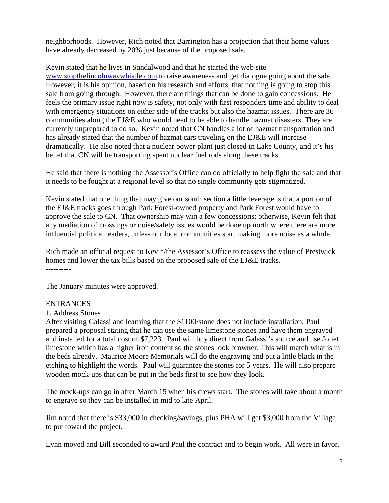neighborhoods. However, Rich noted that Barrington has a projection that their home values have already decreased by 20% just because of the proposed sale.

Kevin stated that he lives in Sandalwood and that he started the web site www.stopthelincolnwaywhistle.com to raise awareness and get dialogue going about the sale. However, it is his opinion, based on his research and efforts, that nothing is going to stop this sale from going through. However, there are things that can be done to gain concessions. He feels the primary issue right now is safety, not only with first responders time and ability to deal with emergency situations on either side of the tracks but also the hazmat issues. There are 36 communities along the EJ&E who would need to be able to handle hazmat disasters. They are currently unprepared to do so. Kevin noted that CN handles a lot of hazmat transportation and has already stated that the number of hazmat cars traveling on the EJ&E will increase dramatically. He also noted that a nuclear power plant just closed in Lake County, and it's his belief that CN will be transporting spent nuclear fuel rods along these tracks.

He said that there is nothing the Assessor's Office can do officially to help fight the sale and that it needs to be fought at a regional level so that no single community gets stigmatized.

Kevin stated that one thing that may give our south section a little leverage is that a portion of the EJ&E tracks goes through Park Forest-owned property and Park Forest would have to approve the sale to CN. That ownership may win a few concessions; otherwise, Kevin felt that any mediation of crossings or noise/safety issues would be done up north where there are more influential political leaders, unless our local communities start making more noise as a whole.

Rich made an official request to Kevin/the Assessor's Office to reassess the value of Prestwick homes and lower the tax bills based on the proposed sale of the EJ&E tracks.

The January minutes were approved.

#### ENTRANCES

1. Address Stones

After visiting Galassi and learning that the \$1100/stone does not include installation, Paul prepared a proposal stating that he can use the same limestone stones and have them engraved and installed for a total cost of \$7,223. Paul will buy direct from Galassi's source and use Joliet limestone which has a higher iron content so the stones look browner. This will match what is in the beds already. Maurice Moore Memorials will do the engraving and put a little black in the etching to highlight the words. Paul will guarantee the stones for 5 years. He will also prepare wooden mock-ups that can be put in the beds first to see how they look.

The mock-ups can go in after March 15 when his crews start. The stones will take about a month to engrave so they can be installed in mid to late April.

Jim noted that there is \$33,000 in checking/savings, plus PHA will get \$3,000 from the Village to put toward the project.

Lynn moved and Bill seconded to award Paul the contract and to begin work. All were in favor.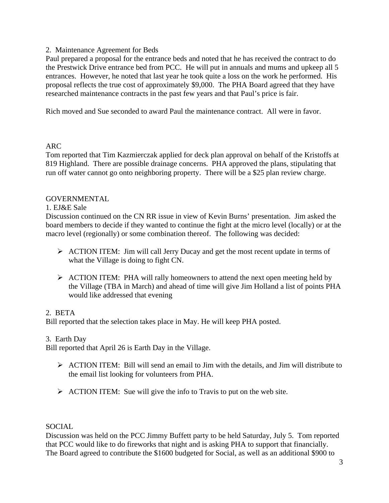## 2. Maintenance Agreement for Beds

Paul prepared a proposal for the entrance beds and noted that he has received the contract to do the Prestwick Drive entrance bed from PCC. He will put in annuals and mums and upkeep all 5 entrances. However, he noted that last year he took quite a loss on the work he performed. His proposal reflects the true cost of approximately \$9,000. The PHA Board agreed that they have researched maintenance contracts in the past few years and that Paul's price is fair.

Rich moved and Sue seconded to award Paul the maintenance contract. All were in favor.

## ARC

Tom reported that Tim Kazmierczak applied for deck plan approval on behalf of the Kristoffs at 819 Highland. There are possible drainage concerns. PHA approved the plans, stipulating that run off water cannot go onto neighboring property. There will be a \$25 plan review charge.

## GOVERNMENTAL

#### 1. EJ&E Sale

Discussion continued on the CN RR issue in view of Kevin Burns' presentation. Jim asked the board members to decide if they wanted to continue the fight at the micro level (locally) or at the macro level (regionally) or some combination thereof. The following was decided:

- ¾ ACTION ITEM: Jim will call Jerry Ducay and get the most recent update in terms of what the Village is doing to fight CN.
- $\triangleright$  ACTION ITEM: PHA will rally homeowners to attend the next open meeting held by the Village (TBA in March) and ahead of time will give Jim Holland a list of points PHA would like addressed that evening

#### 2. BETA

Bill reported that the selection takes place in May. He will keep PHA posted.

#### 3. Earth Day

Bill reported that April 26 is Earth Day in the Village.

- $\triangleright$  ACTION ITEM: Bill will send an email to Jim with the details, and Jim will distribute to the email list looking for volunteers from PHA.
- $\triangleright$  ACTION ITEM: Sue will give the info to Travis to put on the web site.

#### SOCIAL

Discussion was held on the PCC Jimmy Buffett party to be held Saturday, July 5. Tom reported that PCC would like to do fireworks that night and is asking PHA to support that financially. The Board agreed to contribute the \$1600 budgeted for Social, as well as an additional \$900 to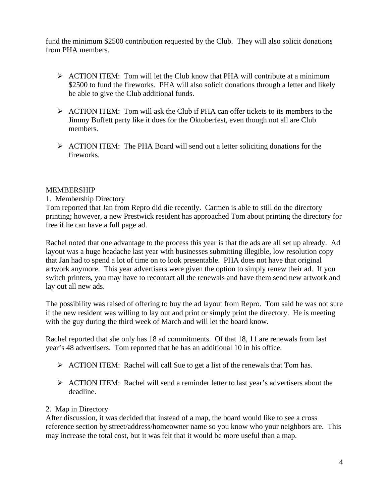fund the minimum \$2500 contribution requested by the Club. They will also solicit donations from PHA members.

- $\triangleright$  ACTION ITEM: Tom will let the Club know that PHA will contribute at a minimum \$2500 to fund the fireworks. PHA will also solicit donations through a letter and likely be able to give the Club additional funds.
- $\triangleright$  ACTION ITEM: Tom will ask the Club if PHA can offer tickets to its members to the Jimmy Buffett party like it does for the Oktoberfest, even though not all are Club members.
- ¾ ACTION ITEM: The PHA Board will send out a letter soliciting donations for the fireworks.

## MEMBERSHIP

## 1. Membership Directory

Tom reported that Jan from Repro did die recently. Carmen is able to still do the directory printing; however, a new Prestwick resident has approached Tom about printing the directory for free if he can have a full page ad.

Rachel noted that one advantage to the process this year is that the ads are all set up already. Ad layout was a huge headache last year with businesses submitting illegible, low resolution copy that Jan had to spend a lot of time on to look presentable. PHA does not have that original artwork anymore. This year advertisers were given the option to simply renew their ad. If you switch printers, you may have to recontact all the renewals and have them send new artwork and lay out all new ads.

The possibility was raised of offering to buy the ad layout from Repro. Tom said he was not sure if the new resident was willing to lay out and print or simply print the directory. He is meeting with the guy during the third week of March and will let the board know.

Rachel reported that she only has 18 ad commitments. Of that 18, 11 are renewals from last year's 48 advertisers. Tom reported that he has an additional 10 in his office.

- $\triangleright$  ACTION ITEM: Rachel will call Sue to get a list of the renewals that Tom has.
- ¾ ACTION ITEM: Rachel will send a reminder letter to last year's advertisers about the deadline.

## 2. Map in Directory

After discussion, it was decided that instead of a map, the board would like to see a cross reference section by street/address/homeowner name so you know who your neighbors are. This may increase the total cost, but it was felt that it would be more useful than a map.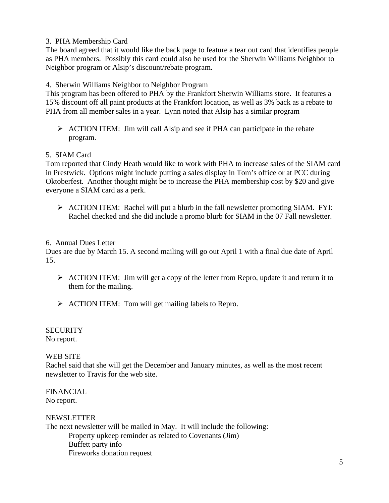3. PHA Membership Card

The board agreed that it would like the back page to feature a tear out card that identifies people as PHA members. Possibly this card could also be used for the Sherwin Williams Neighbor to Neighbor program or Alsip's discount/rebate program.

4. Sherwin Williams Neighbor to Neighbor Program

This program has been offered to PHA by the Frankfort Sherwin Williams store. It features a 15% discount off all paint products at the Frankfort location, as well as 3% back as a rebate to PHA from all member sales in a year. Lynn noted that Alsip has a similar program

 $\triangleright$  ACTION ITEM: Jim will call Alsip and see if PHA can participate in the rebate program.

## 5. SIAM Card

Tom reported that Cindy Heath would like to work with PHA to increase sales of the SIAM card in Prestwick. Options might include putting a sales display in Tom's office or at PCC during Oktoberfest. Another thought might be to increase the PHA membership cost by \$20 and give everyone a SIAM card as a perk.

¾ ACTION ITEM: Rachel will put a blurb in the fall newsletter promoting SIAM. FYI: Rachel checked and she did include a promo blurb for SIAM in the 07 Fall newsletter.

## 6. Annual Dues Letter

Dues are due by March 15. A second mailing will go out April 1 with a final due date of April 15.

- ¾ ACTION ITEM: Jim will get a copy of the letter from Repro, update it and return it to them for the mailing.
- ¾ ACTION ITEM: Tom will get mailing labels to Repro.

**SECURITY** No report.

# WEB SITE

Rachel said that she will get the December and January minutes, as well as the most recent newsletter to Travis for the web site.

FINANCIAL No report.

# NEWSLETTER The next newsletter will be mailed in May. It will include the following: Property upkeep reminder as related to Covenants (Jim) Buffett party info Fireworks donation request